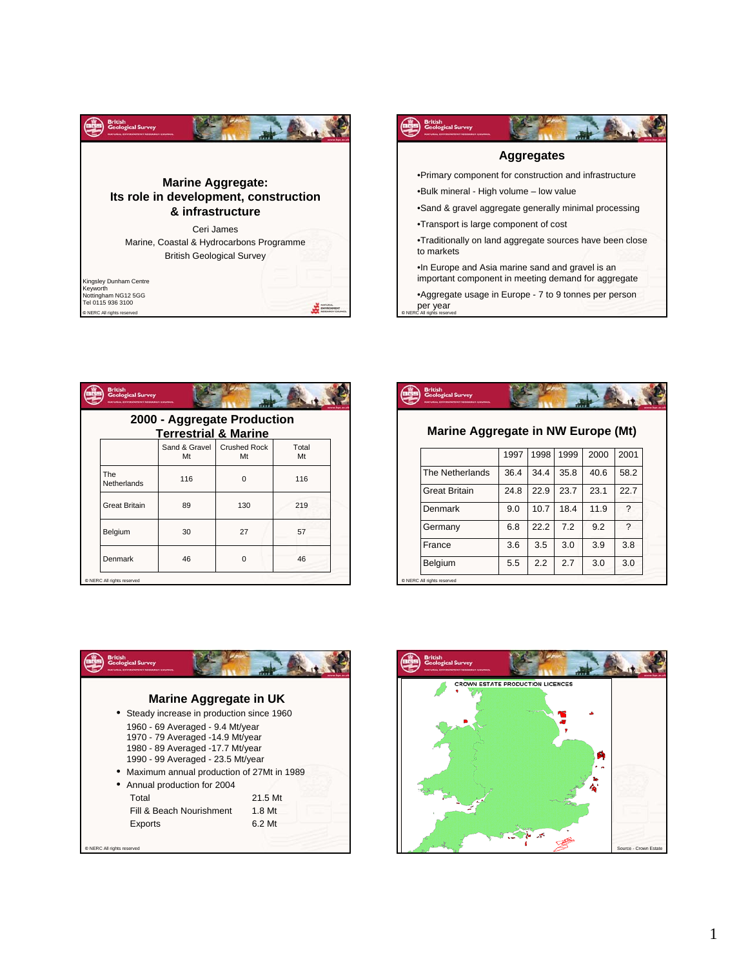



|  | <b>British</b><br><b>Geological Survey</b><br>WIRONHENT RESEARCH COUNCIL |                     |                           |             |  |  |  |  |  |  |  |  |
|--|--------------------------------------------------------------------------|---------------------|---------------------------|-------------|--|--|--|--|--|--|--|--|
|  | 2000 - Aggregate Production<br><b>Terrestrial &amp; Marine</b>           |                     |                           |             |  |  |  |  |  |  |  |  |
|  |                                                                          | Sand & Gravel<br>Mt | <b>Crushed Rock</b><br>Mt | Total<br>Mt |  |  |  |  |  |  |  |  |
|  | <b>The</b><br>Netherlands                                                | 116                 | $\Omega$                  | 116         |  |  |  |  |  |  |  |  |
|  | <b>Great Britain</b>                                                     | 89                  | 130                       | 219         |  |  |  |  |  |  |  |  |
|  | Belgium                                                                  | 30                  | 27                        | 57          |  |  |  |  |  |  |  |  |
|  | Denmark                                                                  | 46                  | $\Omega$                  | 46          |  |  |  |  |  |  |  |  |
|  | C NERC All rights reserved                                               |                     |                           |             |  |  |  |  |  |  |  |  |



## **Marine Aggregate in NW Europe (Mt)**

|                            | 1997 | 1998 | 1999 | 2000 | 2001 |
|----------------------------|------|------|------|------|------|
| The Netherlands            | 36.4 | 34.4 | 35.8 | 40.6 | 58.2 |
| <b>Great Britain</b>       | 24.8 | 22.9 | 23.7 | 23.1 | 22.7 |
| Denmark                    | 9.0  | 10.7 | 18.4 | 11.9 | ?    |
| Germany                    | 6.8  | 22.2 | 7.2  | 9.2  | ?    |
| France                     | 3.6  | 3.5  | 3.0  | 3.9  | 3.8  |
| Belgium                    | 5.5  | 2.2  | 2.7  | 3.0  | 3.0  |
| C NERC All rights reserved |      |      |      |      |      |



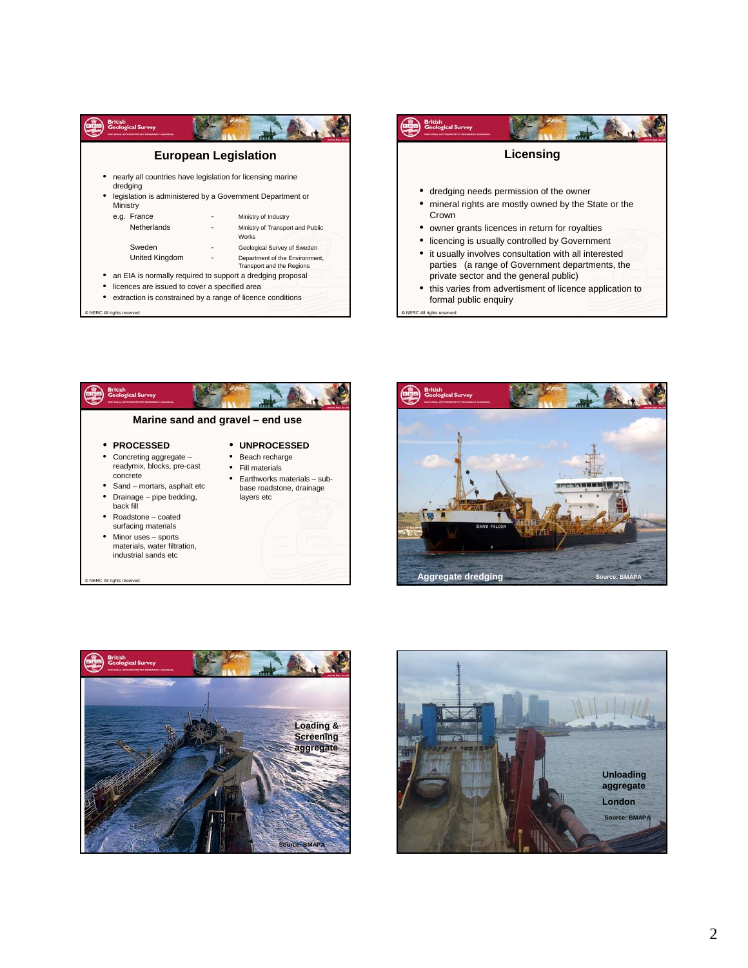









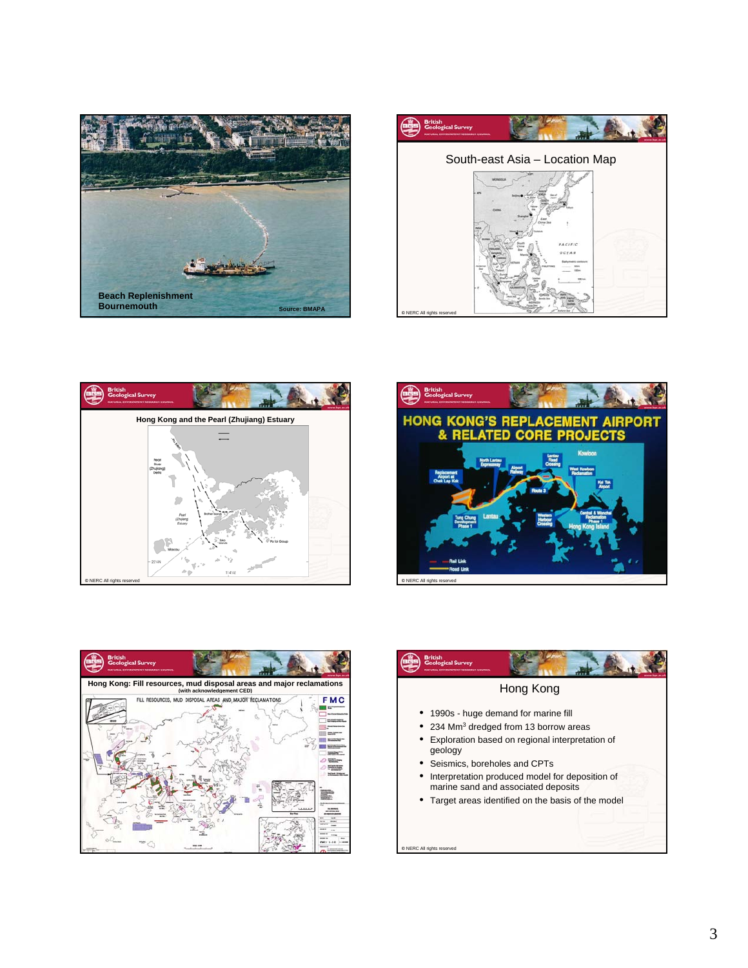









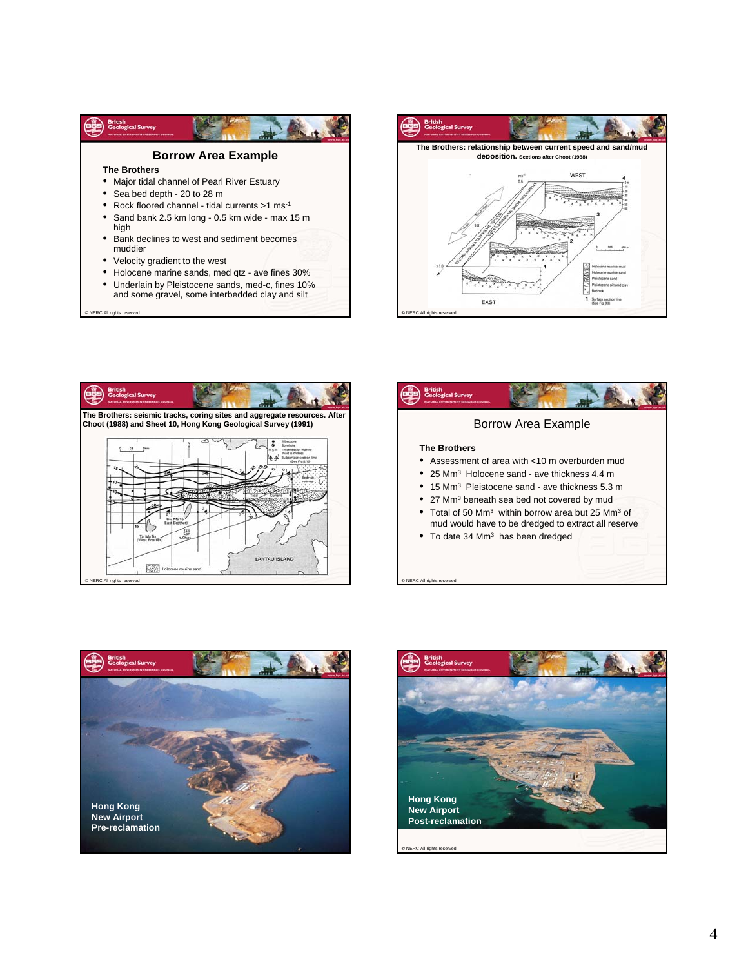

**©** NERC All rights reserved









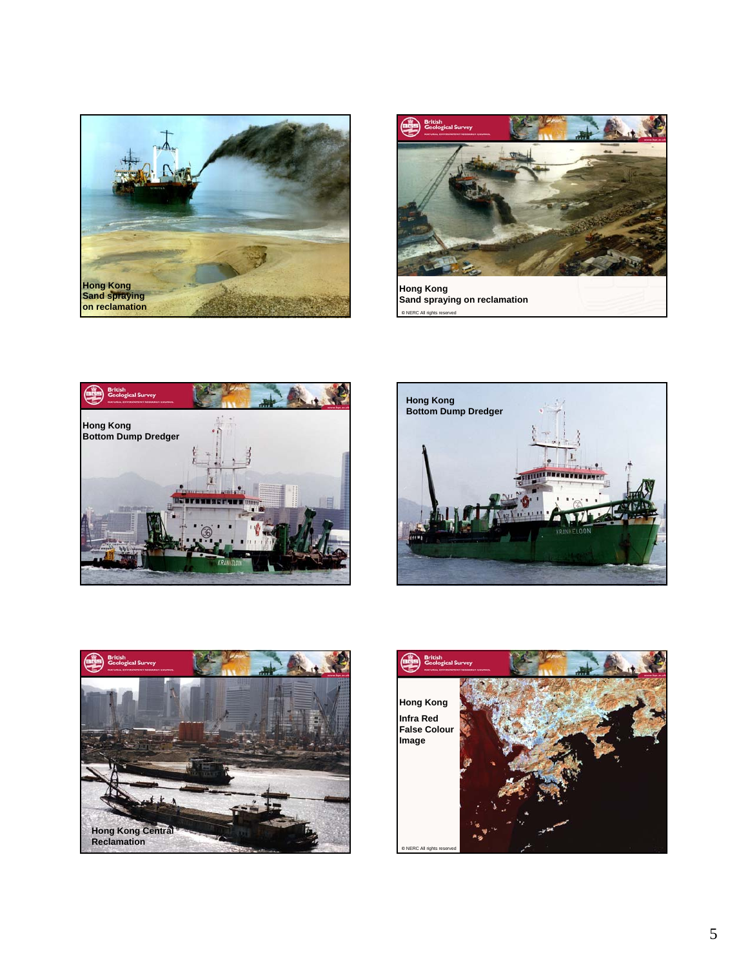



**Hong Kong Sand spraying on reclamation** 







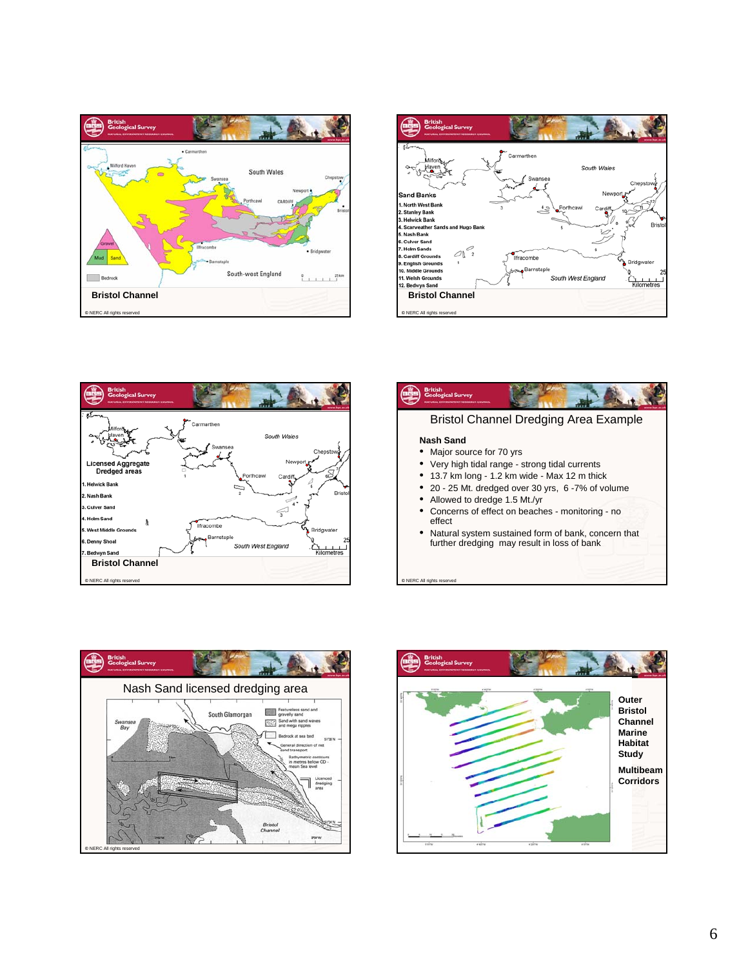